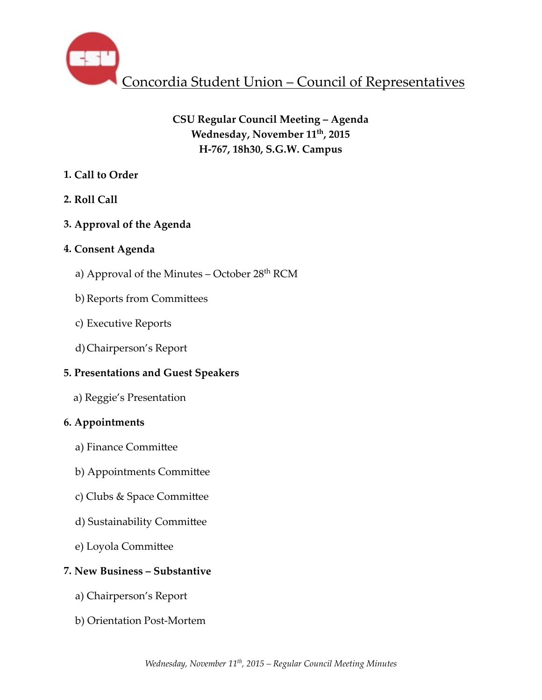

# **CSU Regular Council Meeting – Agenda** Wednesday, November 11<sup>th</sup>, 2015 **H-767, 18h30, S.G.W. Campus**

# **1. Call to Order**

# **2. Roll Call**

# **3. Approval of the Agenda**

# **4. Consent Agenda**

- a) Approval of the Minutes October 28<sup>th</sup> RCM
- b) Reports from Committees
- c) Executive Reports
- d)Chairperson's Report

# **5. Presentations and Guest Speakers**

 a) Reggie's Presentation

# **6. Appointments**

- a) Finance Committee
- b) Appointments Committee
- c) Clubs & Space Committee
- d) Sustainability Committee
- e) Loyola Committee

# **7. New Business – Substantive**

- a) Chairperson's Report
- b) Orientation Post-Mortem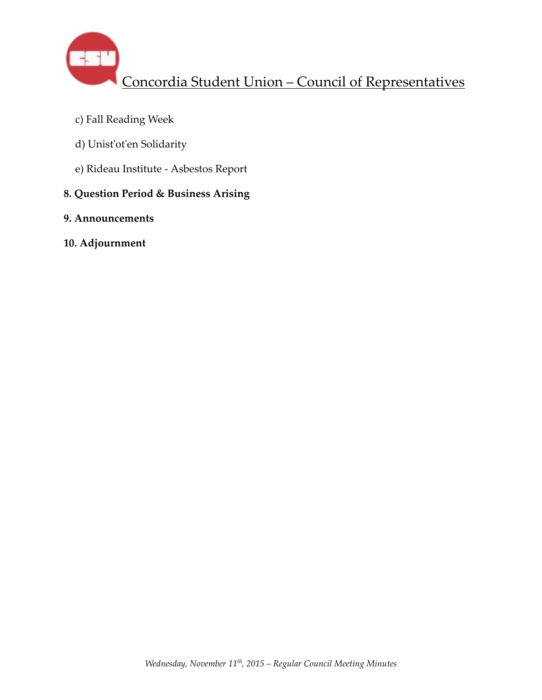

- c) Fall Reading Week
- d) Unist'ot'en Solidarity
- e) Rideau Institute Asbestos Report

# **8. Question Period & Business Arising**

- **9. Announcements**
- **10. Adjournment**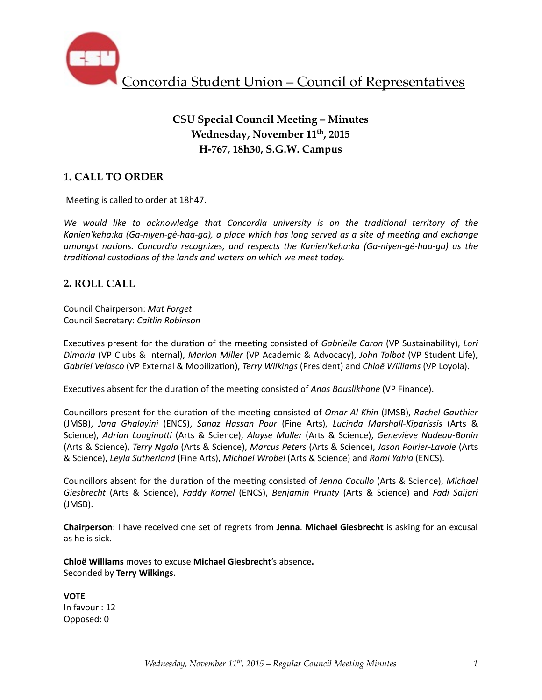

# **CSU Special Council Meeting – Minutes** Wednesday, November 11<sup>th</sup>, 2015 **H-767, 18h30, S.G.W. Campus**

## **1. CALL TO ORDER**

Meeting is called to order at 18h47.

We would like to acknowledge that Concordia university is on the traditional territory of the Kanien'keha:ka (Ga-niyen-gé-haa-ga), a place which has long served as a site of meeting and exchange *amongst nations. Concordia recognizes, and respects the Kanien'keha:ka (Ga-niyen-gé-haa-ga)* as the *traditional custodians of the lands and waters on which we meet today.* 

### **2. ROLL CALL**

Council Chairperson: *Mat Forget* Council Secretary: *Caitlin Robinson*

Executives present for the duration of the meeting consisted of *Gabrielle Caron* (VP Sustainability), *Lori Dimaria* (VP Clubs & Internal), *Marion Miller* (VP Academic & Advocacy), *John Talbot* (VP Student Life), *Gabriel Velasco* (VP External & Mobilization), *Terry Wilkings* (President) and *Chloë Williams* (VP Loyola).

Executives absent for the duration of the meeting consisted of *Anas Bouslikhane* (VP Finance).

Councillors present for the duration of the meeting consisted of *Omar Al Khin* (JMSB), *Rachel Gauthier* (JMSB), *Jana Ghalayini* (ENCS), *Sanaz Hassan Pour* (Fine Arts), *Lucinda Marshall-Kiparissis* (Arts & Science), *Adrian Longinotti* (Arts & Science), *Aloyse Muller* (Arts & Science), *Geneviève Nadeau-Bonin* (Arts & Science), *Terry Ngala* (Arts & Science), *Marcus Peters* (Arts & Science), *Jason Poirier-Lavoie* (Arts & Science), *Leyla Sutherland* (Fine Arts), *Michael Wrobel* (Arts & Science) and *Rami Yahia* (ENCS). 

Councillors absent for the duration of the meeting consisted of *Jenna Cocullo* (Arts & Science), Michael *Giesbrecht* (Arts & Science), *Faddy Kamel* (ENCS), *Benjamin Prunty* (Arts & Science) and *Fadi Saijari*  (JMSB).

**Chairperson**: I have received one set of regrets from Jenna. Michael Giesbrecht is asking for an excusal as he is sick.

**Chloë Williams** moves to excuse **Michael Giesbrecht's** absence. Seconded by **Terry Wilkings**. 

**VOTE** In favour : 12 Opposed: 0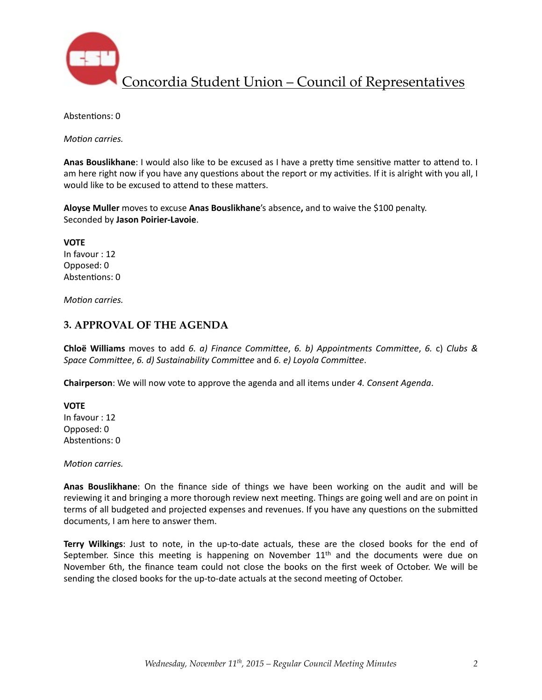

Abstentions: 0

*Motion carries.* 

Anas Bouslikhane: I would also like to be excused as I have a pretty time sensitive matter to attend to. I am here right now if you have any questions about the report or my activities. If it is alright with you all, I would like to be excused to attend to these matters.

Aloyse Muller moves to excuse Anas Bouslikhane's absence, and to waive the \$100 penalty. Seconded by **Jason Poirier-Lavoie**. 

**VOTE** In favour : 12 Opposed: 0 Abstentions: 0

*Motion carries.* 

### **3. APPROVAL OF THE AGENDA**

**Chloë Williams** moves to add 6. a) Finance Committee, 6. b) Appointments Committee, 6. c) Clubs & *Space Committee, 6. d)* Sustainability *Committee* and *6. e)* Loyola *Committee.* 

**Chairperson**: We will now vote to approve the agenda and all items under 4. Consent Agenda.

**VOTE** In favour : 12 Opposed: 0 Abstentions: 0

*Motion carries.* 

**Anas Bouslikhane**: On the finance side of things we have been working on the audit and will be reviewing it and bringing a more thorough review next meeting. Things are going well and are on point in terms of all budgeted and projected expenses and revenues. If you have any questions on the submitted documents, I am here to answer them.

**Terry Wilkings**: Just to note, in the up-to-date actuals, these are the closed books for the end of September. Since this meeting is happening on November  $11<sup>th</sup>$  and the documents were due on November 6th, the finance team could not close the books on the first week of October. We will be sending the closed books for the up-to-date actuals at the second meeting of October.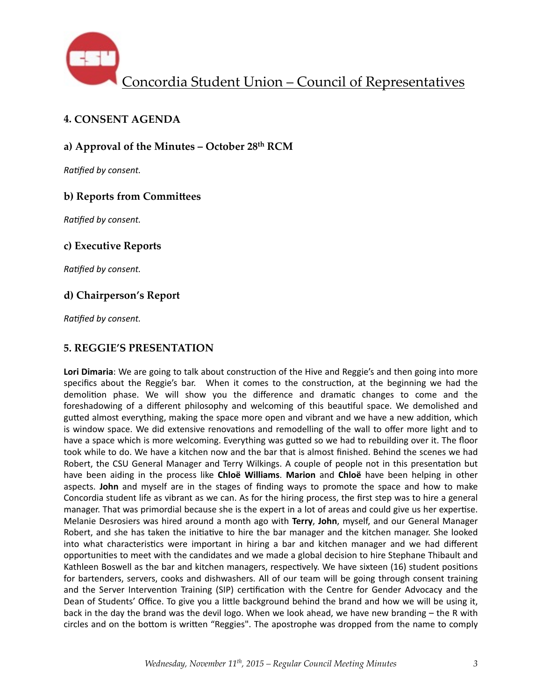

## **4. CONSENT AGENDA**

### **a) Approval of the Minutes – October 28th RCM**

**Ratified by consent.** 

### **b) Reports from Committees**

**Ratified by consent.** 

### **c) Executive Reports**

*Ratified by consent.* 

## **d) Chairperson's Report**

**Ratified by consent.** 

### **5. REGGIE'S PRESENTATION**

Lori Dimaria: We are going to talk about construction of the Hive and Reggie's and then going into more specifics about the Reggie's bar. When it comes to the construction, at the beginning we had the demolition phase. We will show you the difference and dramatic changes to come and the foreshadowing of a different philosophy and welcoming of this beautiful space. We demolished and gutted almost everything, making the space more open and vibrant and we have a new addition, which is window space. We did extensive renovations and remodelling of the wall to offer more light and to have a space which is more welcoming. Everything was gutted so we had to rebuilding over it. The floor took while to do. We have a kitchen now and the bar that is almost finished. Behind the scenes we had Robert, the CSU General Manager and Terry Wilkings. A couple of people not in this presentation but have been aiding in the process like **Chloë Williams. Marion** and **Chloë** have been helping in other aspects. **John** and myself are in the stages of finding ways to promote the space and how to make Concordia student life as vibrant as we can. As for the hiring process, the first step was to hire a general manager. That was primordial because she is the expert in a lot of areas and could give us her expertise. Melanie Desrosiers was hired around a month ago with **Terry, John**, myself, and our General Manager Robert, and she has taken the initiative to hire the bar manager and the kitchen manager. She looked into what characteristics were important in hiring a bar and kitchen manager and we had different opportunities to meet with the candidates and we made a global decision to hire Stephane Thibault and Kathleen Boswell as the bar and kitchen managers, respectively. We have sixteen (16) student positions for bartenders, servers, cooks and dishwashers. All of our team will be going through consent training and the Server Intervention Training (SIP) certification with the Centre for Gender Advocacy and the Dean of Students' Office. To give you a little background behind the brand and how we will be using it, back in the day the brand was the devil logo. When we look ahead, we have new branding – the R with circles and on the bottom is written "Reggies". The apostrophe was dropped from the name to comply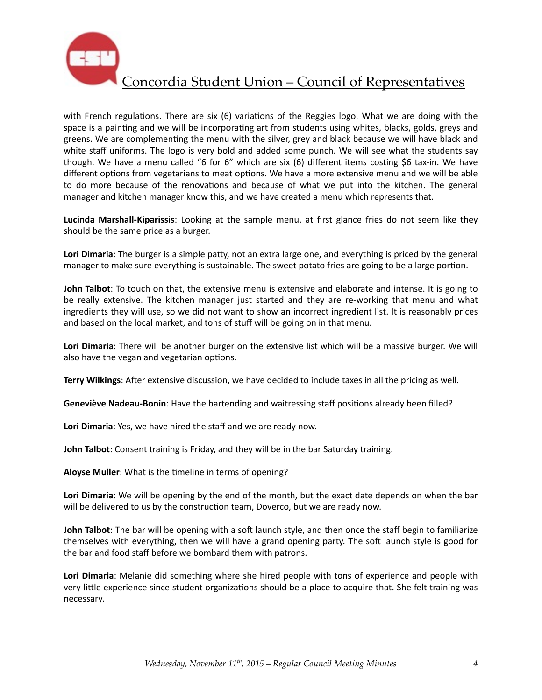

with French regulations. There are six  $(6)$  variations of the Reggies logo. What we are doing with the space is a painting and we will be incorporating art from students using whites, blacks, golds, greys and greens. We are complementing the menu with the silver, grey and black because we will have black and white staff uniforms. The logo is very bold and added some punch. We will see what the students say though. We have a menu called "6 for 6" which are six  $(6)$  different items costing \$6 tax-in. We have different options from vegetarians to meat options. We have a more extensive menu and we will be able to do more because of the renovations and because of what we put into the kitchen. The general manager and kitchen manager know this, and we have created a menu which represents that.

**Lucinda Marshall-Kiparissis**: Looking at the sample menu, at first glance fries do not seem like they should be the same price as a burger.

**Lori Dimaria**: The burger is a simple patty, not an extra large one, and everything is priced by the general manager to make sure everything is sustainable. The sweet potato fries are going to be a large portion.

**John Talbot**: To touch on that, the extensive menu is extensive and elaborate and intense. It is going to be really extensive. The kitchen manager just started and they are re-working that menu and what ingredients they will use, so we did not want to show an incorrect ingredient list. It is reasonably prices and based on the local market, and tons of stuff will be going on in that menu.

Lori Dimaria: There will be another burger on the extensive list which will be a massive burger. We will also have the vegan and vegetarian options.

**Terry Wilkings:** After extensive discussion, we have decided to include taxes in all the pricing as well.

**Geneviève Nadeau-Bonin**: Have the bartending and waitressing staff positions already been filled?

Lori Dimaria: Yes, we have hired the staff and we are ready now.

**John Talbot**: Consent training is Friday, and they will be in the bar Saturday training.

**Aloyse Muller:** What is the timeline in terms of opening?

Lori Dimaria: We will be opening by the end of the month, but the exact date depends on when the bar will be delivered to us by the construction team, Doverco, but we are ready now.

**John Talbot**: The bar will be opening with a soft launch style, and then once the staff begin to familiarize themselves with everything, then we will have a grand opening party. The soft launch style is good for the bar and food staff before we bombard them with patrons.

**Lori Dimaria**: Melanie did something where she hired people with tons of experience and people with very little experience since student organizations should be a place to acquire that. She felt training was necessary.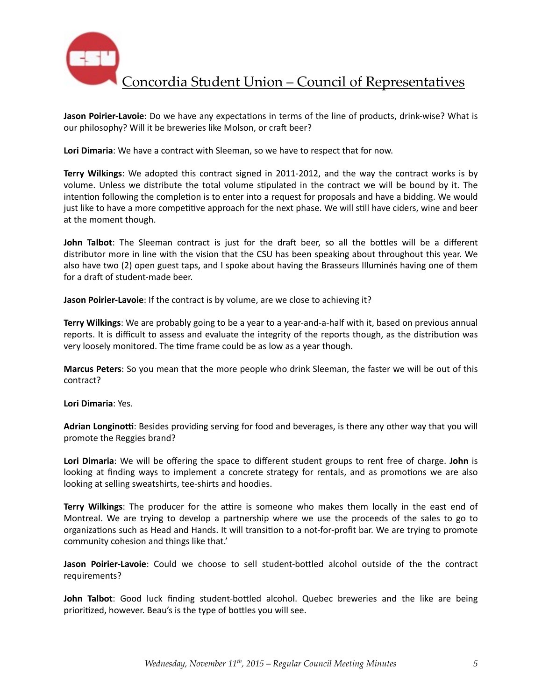

**Jason Poirier-Lavoie**: Do we have any expectations in terms of the line of products, drink-wise? What is our philosophy? Will it be breweries like Molson, or craft beer?

Lori Dimaria: We have a contract with Sleeman, so we have to respect that for now.

**Terry Wilkings**: We adopted this contract signed in 2011-2012, and the way the contract works is by volume. Unless we distribute the total volume stipulated in the contract we will be bound by it. The intention following the completion is to enter into a request for proposals and have a bidding. We would just like to have a more competitive approach for the next phase. We will still have ciders, wine and beer at the moment though.

**John Talbot**: The Sleeman contract is just for the draft beer, so all the bottles will be a different distributor more in line with the vision that the CSU has been speaking about throughout this year. We also have two (2) open guest taps, and I spoke about having the Brasseurs Illuminés having one of them for a draft of student-made beer.

**Jason Poirier-Lavoie**: If the contract is by volume, are we close to achieving it?

**Terry Wilkings**: We are probably going to be a year to a year-and-a-half with it, based on previous annual reports. It is difficult to assess and evaluate the integrity of the reports though, as the distribution was very loosely monitored. The time frame could be as low as a year though.

**Marcus Peters**: So you mean that the more people who drink Sleeman, the faster we will be out of this contract? 

**Lori Dimaria**: Yes. 

Adrian Longinotti: Besides providing serving for food and beverages, is there any other way that you will promote the Reggies brand?

Lori Dimaria: We will be offering the space to different student groups to rent free of charge. John is looking at finding ways to implement a concrete strategy for rentals, and as promotions we are also looking at selling sweatshirts, tee-shirts and hoodies.

**Terry Wilkings**: The producer for the attire is someone who makes them locally in the east end of Montreal. We are trying to develop a partnership where we use the proceeds of the sales to go to organizations such as Head and Hands. It will transition to a not-for-profit bar. We are trying to promote community cohesion and things like that.'

Jason Poirier-Lavoie: Could we choose to sell student-bottled alcohol outside of the the contract requirements? 

**John Talbot**: Good luck finding student-bottled alcohol. Quebec breweries and the like are being prioritized, however. Beau's is the type of bottles you will see.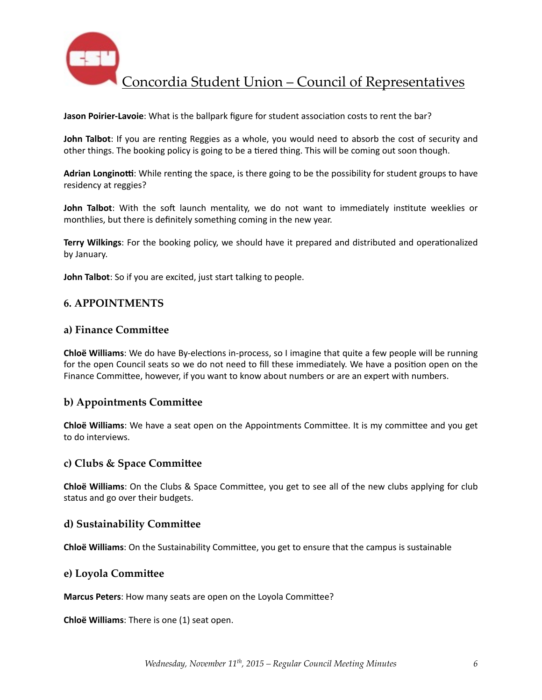

**Jason Poirier-Lavoie**: What is the ballpark figure for student association costs to rent the bar?

**John Talbot**: If you are renting Reggies as a whole, you would need to absorb the cost of security and other things. The booking policy is going to be a tiered thing. This will be coming out soon though.

Adrian Longinotti: While renting the space, is there going to be the possibility for student groups to have residency at reggies?

**John Talbot**: With the soft launch mentality, we do not want to immediately institute weeklies or monthlies, but there is definitely something coming in the new year.

**Terry Wilkings**: For the booking policy, we should have it prepared and distributed and operationalized by January.

**John Talbot**: So if you are excited, just start talking to people.

#### **6. APPOINTMENTS**

#### **a) Finance Committee**

**Chloë Williams**: We do have By-elections in-process, so I imagine that quite a few people will be running for the open Council seats so we do not need to fill these immediately. We have a position open on the Finance Committee, however, if you want to know about numbers or are an expert with numbers.

#### **b) Appointments Committee**

**Chloë Williams**: We have a seat open on the Appointments Committee. It is my committee and you get to do interviews.

#### **c)** Clubs & Space Committee

**Chloë Williams**: On the Clubs & Space Committee, you get to see all of the new clubs applying for club status and go over their budgets.

#### **d) Sustainability Committee**

**Chloë Williams**: On the Sustainability Committee, you get to ensure that the campus is sustainable

#### **e)** Loyola Committee

**Marcus Peters**: How many seats are open on the Loyola Committee?

**Chloë Williams**: There is one (1) seat open.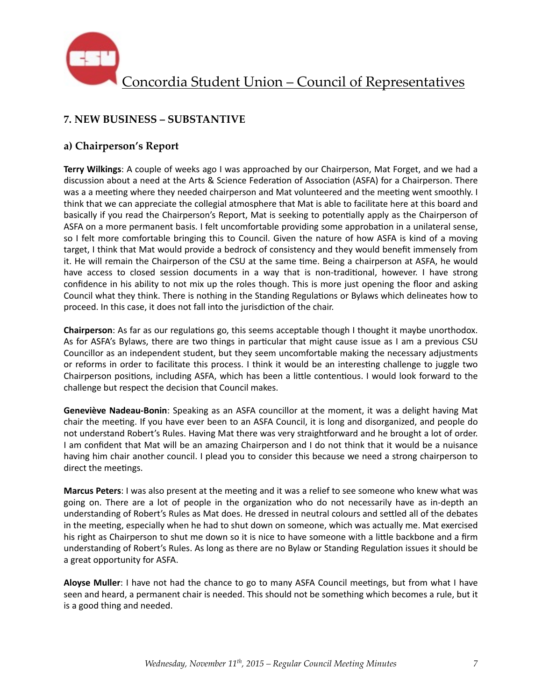

# **7. NEW BUSINESS – SUBSTANTIVE**

## **a) Chairperson's Report**

**Terry Wilkings**: A couple of weeks ago I was approached by our Chairperson, Mat Forget, and we had a discussion about a need at the Arts & Science Federation of Association (ASFA) for a Chairperson. There was a a meeting where they needed chairperson and Mat volunteered and the meeting went smoothly. I think that we can appreciate the collegial atmosphere that Mat is able to facilitate here at this board and basically if you read the Chairperson's Report, Mat is seeking to potentially apply as the Chairperson of ASFA on a more permanent basis. I felt uncomfortable providing some approbation in a unilateral sense, so I felt more comfortable bringing this to Council. Given the nature of how ASFA is kind of a moving target, I think that Mat would provide a bedrock of consistency and they would benefit immensely from it. He will remain the Chairperson of the CSU at the same time. Being a chairperson at ASFA, he would have access to closed session documents in a way that is non-traditional, however. I have strong confidence in his ability to not mix up the roles though. This is more just opening the floor and asking Council what they think. There is nothing in the Standing Regulations or Bylaws which delineates how to proceed. In this case, it does not fall into the jurisdiction of the chair.

**Chairperson**: As far as our regulations go, this seems acceptable though I thought it maybe unorthodox. As for ASFA's Bylaws, there are two things in particular that might cause issue as I am a previous CSU Councillor as an independent student, but they seem uncomfortable making the necessary adjustments or reforms in order to facilitate this process. I think it would be an interesting challenge to juggle two Chairperson positions, including ASFA, which has been a little contentious. I would look forward to the challenge but respect the decision that Council makes.

**Geneviève Nadeau-Bonin**: Speaking as an ASFA councillor at the moment, it was a delight having Mat chair the meeting. If you have ever been to an ASFA Council, it is long and disorganized, and people do not understand Robert's Rules. Having Mat there was very straightforward and he brought a lot of order. I am confident that Mat will be an amazing Chairperson and I do not think that it would be a nuisance having him chair another council. I plead you to consider this because we need a strong chairperson to direct the meetings.

**Marcus Peters**: I was also present at the meeting and it was a relief to see someone who knew what was going on. There are a lot of people in the organization who do not necessarily have as in-depth an understanding of Robert's Rules as Mat does. He dressed in neutral colours and settled all of the debates in the meeting, especially when he had to shut down on someone, which was actually me. Mat exercised his right as Chairperson to shut me down so it is nice to have someone with a little backbone and a firm understanding of Robert's Rules. As long as there are no Bylaw or Standing Regulation issues it should be a great opportunity for ASFA.

Aloyse Muller: I have not had the chance to go to many ASFA Council meetings, but from what I have seen and heard, a permanent chair is needed. This should not be something which becomes a rule, but it is a good thing and needed.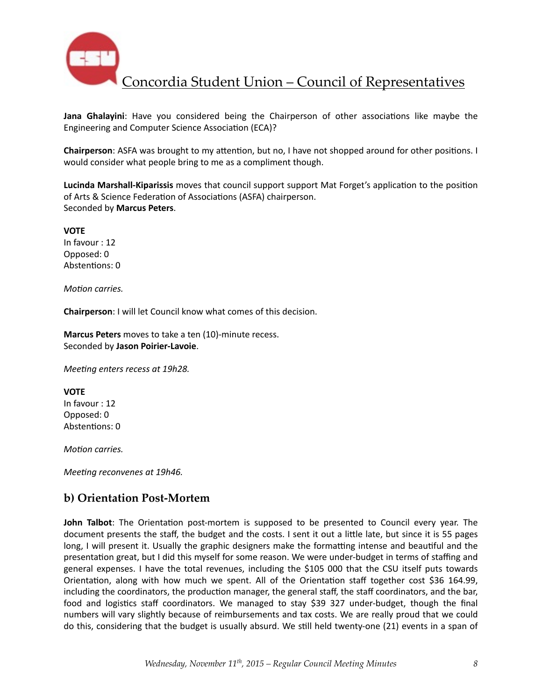

**Jana Ghalayini**: Have you considered being the Chairperson of other associations like maybe the Engineering and Computer Science Association (ECA)?

**Chairperson**: ASFA was brought to my attention, but no, I have not shopped around for other positions. I would consider what people bring to me as a compliment though.

**Lucinda Marshall-Kiparissis** moves that council support support Mat Forget's application to the position of Arts & Science Federation of Associations (ASFA) chairperson. Seconded by **Marcus Peters**. 

**VOTE** In favour : 12 Opposed: 0 Abstentions: 0

*Motion carries.* 

**Chairperson**: I will let Council know what comes of this decision.

**Marcus Peters** moves to take a ten (10)-minute recess. Seconded by **Jason Poirier-Lavoie**. 

*Meeting enters recess at 19h28.* 

**VOTE** In favour : 12 Opposed: 0 Abstentions: 0

*Motion carries.* 

*Meeting reconvenes at 19h46.* 

## **b) Orientation Post-Mortem**

**John Talbot**: The Orientation post-mortem is supposed to be presented to Council every year. The document presents the staff, the budget and the costs. I sent it out a little late, but since it is 55 pages long, I will present it. Usually the graphic designers make the formatting intense and beautiful and the presentation great, but I did this myself for some reason. We were under-budget in terms of staffing and general expenses. I have the total revenues, including the \$105 000 that the CSU itself puts towards Orientation, along with how much we spent. All of the Orientation staff together cost \$36 164.99, including the coordinators, the production manager, the general staff, the staff coordinators, and the bar, food and logistics staff coordinators. We managed to stay \$39 327 under-budget, though the final numbers will vary slightly because of reimbursements and tax costs. We are really proud that we could do this, considering that the budget is usually absurd. We still held twenty-one (21) events in a span of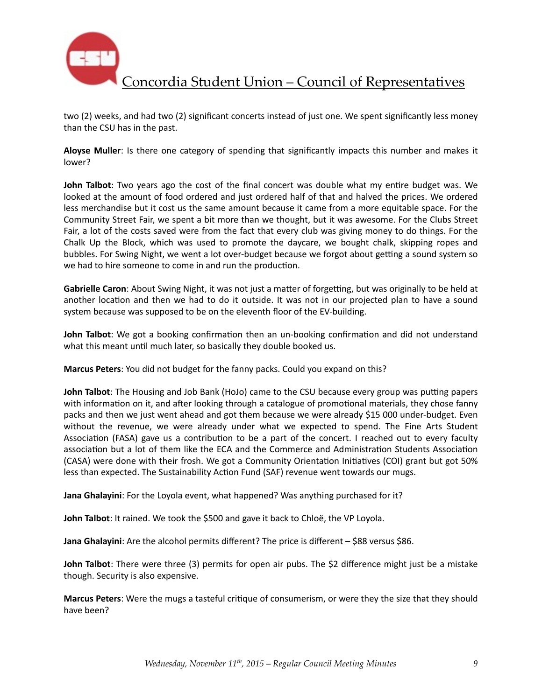

two (2) weeks, and had two (2) significant concerts instead of just one. We spent significantly less money than the CSU has in the past.

Aloyse Muller: Is there one category of spending that significantly impacts this number and makes it lower? 

**John Talbot**: Two years ago the cost of the final concert was double what my entire budget was. We looked at the amount of food ordered and just ordered half of that and halved the prices. We ordered less merchandise but it cost us the same amount because it came from a more equitable space. For the Community Street Fair, we spent a bit more than we thought, but it was awesome. For the Clubs Street Fair, a lot of the costs saved were from the fact that every club was giving money to do things. For the Chalk Up the Block, which was used to promote the daycare, we bought chalk, skipping ropes and bubbles. For Swing Night, we went a lot over-budget because we forgot about getting a sound system so we had to hire someone to come in and run the production.

**Gabrielle Caron**: About Swing Night, it was not just a matter of forgetting, but was originally to be held at another location and then we had to do it outside. It was not in our projected plan to have a sound system because was supposed to be on the eleventh floor of the EV-building.

**John Talbot**: We got a booking confirmation then an un-booking confirmation and did not understand what this meant until much later, so basically they double booked us.

**Marcus Peters**: You did not budget for the fanny packs. Could you expand on this?

**John Talbot**: The Housing and Job Bank (HoJo) came to the CSU because every group was putting papers with information on it, and after looking through a catalogue of promotional materials, they chose fanny packs and then we just went ahead and got them because we were already \$15 000 under-budget. Even without the revenue, we were already under what we expected to spend. The Fine Arts Student Association (FASA) gave us a contribution to be a part of the concert. I reached out to every faculty association but a lot of them like the ECA and the Commerce and Administration Students Association (CASA) were done with their frosh. We got a Community Orientation Initiatives (COI) grant but got 50% less than expected. The Sustainability Action Fund (SAF) revenue went towards our mugs.

**Jana Ghalayini**: For the Loyola event, what happened? Was anything purchased for it?

**John Talbot**: It rained. We took the \$500 and gave it back to Chloë, the VP Loyola.

**Jana Ghalayini**: Are the alcohol permits different? The price is different – \$88 versus \$86.

**John Talbot**: There were three (3) permits for open air pubs. The \$2 difference might just be a mistake though. Security is also expensive.

**Marcus Peters:** Were the mugs a tasteful critique of consumerism, or were they the size that they should have been?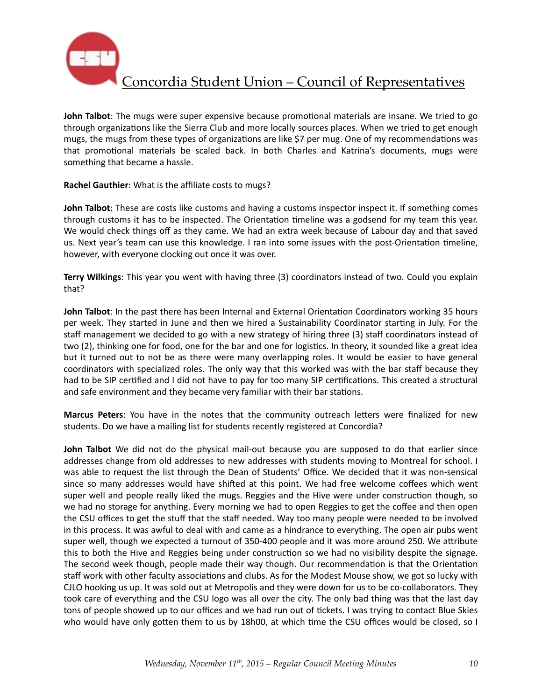

**John Talbot**: The mugs were super expensive because promotional materials are insane. We tried to go through organizations like the Sierra Club and more locally sources places. When we tried to get enough mugs, the mugs from these types of organizations are like \$7 per mug. One of my recommendations was that promotional materials be scaled back. In both Charles and Katrina's documents, mugs were something that became a hassle.

**Rachel Gauthier:** What is the affiliate costs to mugs?

**John Talbot**: These are costs like customs and having a customs inspector inspect it. If something comes through customs it has to be inspected. The Orientation timeline was a godsend for my team this year. We would check things off as they came. We had an extra week because of Labour day and that saved us. Next year's team can use this knowledge. I ran into some issues with the post-Orientation timeline, however, with everyone clocking out once it was over.

**Terry Wilkings**: This year you went with having three (3) coordinators instead of two. Could you explain that? 

**John Talbot**: In the past there has been Internal and External Orientation Coordinators working 35 hours per week. They started in June and then we hired a Sustainability Coordinator starting in July. For the staff management we decided to go with a new strategy of hiring three (3) staff coordinators instead of two (2), thinking one for food, one for the bar and one for logistics. In theory, it sounded like a great idea but it turned out to not be as there were many overlapping roles. It would be easier to have general coordinators with specialized roles. The only way that this worked was with the bar staff because they had to be SIP certified and I did not have to pay for too many SIP certifications. This created a structural and safe environment and they became very familiar with their bar stations.

**Marcus Peters**: You have in the notes that the community outreach letters were finalized for new students. Do we have a mailing list for students recently registered at Concordia?

**John Talbot** We did not do the physical mail-out because you are supposed to do that earlier since addresses change from old addresses to new addresses with students moving to Montreal for school. I was able to request the list through the Dean of Students' Office. We decided that it was non-sensical since so many addresses would have shifted at this point. We had free welcome coffees which went super well and people really liked the mugs. Reggies and the Hive were under construction though, so we had no storage for anything. Every morning we had to open Reggies to get the coffee and then open the CSU offices to get the stuff that the staff needed. Way too many people were needed to be involved in this process. It was awful to deal with and came as a hindrance to everything. The open air pubs went super well, though we expected a turnout of 350-400 people and it was more around 250. We attribute this to both the Hive and Reggies being under construction so we had no visibility despite the signage. The second week though, people made their way though. Our recommendation is that the Orientation staff work with other faculty associations and clubs. As for the Modest Mouse show, we got so lucky with CJLO hooking us up. It was sold out at Metropolis and they were down for us to be co-collaborators. They took care of everything and the CSU logo was all over the city. The only bad thing was that the last day tons of people showed up to our offices and we had run out of tickets. I was trying to contact Blue Skies who would have only gotten them to us by 18h00, at which time the CSU offices would be closed, so I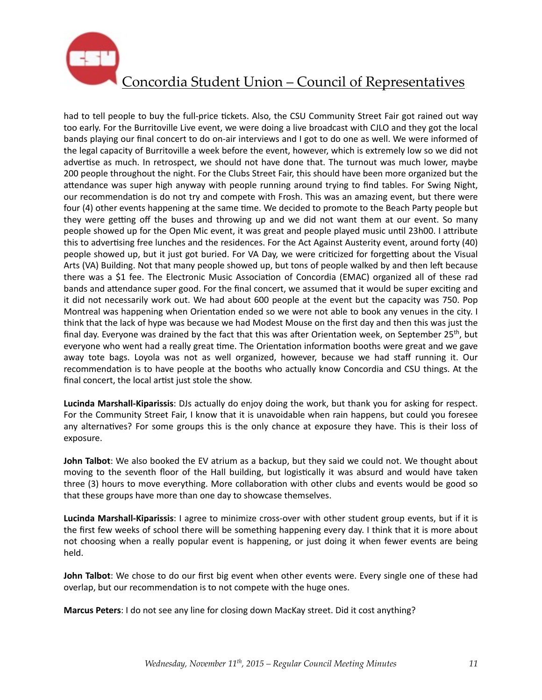

had to tell people to buy the full-price tickets. Also, the CSU Community Street Fair got rained out way too early. For the Burritoville Live event, we were doing a live broadcast with CJLO and they got the local bands playing our final concert to do on-air interviews and I got to do one as well. We were informed of the legal capacity of Burritoville a week before the event, however, which is extremely low so we did not advertise as much. In retrospect, we should not have done that. The turnout was much lower, maybe 200 people throughout the night. For the Clubs Street Fair, this should have been more organized but the attendance was super high anyway with people running around trying to find tables. For Swing Night, our recommendation is do not try and compete with Frosh. This was an amazing event, but there were four (4) other events happening at the same time. We decided to promote to the Beach Party people but they were getting off the buses and throwing up and we did not want them at our event. So many people showed up for the Open Mic event, it was great and people played music until 23h00. I attribute this to advertising free lunches and the residences. For the Act Against Austerity event, around forty (40) people showed up, but it just got buried. For VA Day, we were criticized for forgetting about the Visual Arts (VA) Building. Not that many people showed up, but tons of people walked by and then left because there was a \$1 fee. The Electronic Music Association of Concordia (EMAC) organized all of these rad bands and attendance super good. For the final concert, we assumed that it would be super exciting and it did not necessarily work out. We had about 600 people at the event but the capacity was 750. Pop Montreal was happening when Orientation ended so we were not able to book any venues in the city. I think that the lack of hype was because we had Modest Mouse on the first day and then this was just the final day. Everyone was drained by the fact that this was after Orientation week, on September 25<sup>th</sup>, but everyone who went had a really great time. The Orientation information booths were great and we gave away tote bags. Loyola was not as well organized, however, because we had staff running it. Our recommendation is to have people at the booths who actually know Concordia and CSU things. At the final concert, the local artist just stole the show.

Lucinda Marshall-Kiparissis: DJs actually do enjoy doing the work, but thank you for asking for respect. For the Community Street Fair, I know that it is unavoidable when rain happens, but could you foresee any alternatives? For some groups this is the only chance at exposure they have. This is their loss of exposure. 

**John Talbot**: We also booked the EV atrium as a backup, but they said we could not. We thought about moving to the seventh floor of the Hall building, but logistically it was absurd and would have taken three (3) hours to move everything. More collaboration with other clubs and events would be good so that these groups have more than one day to showcase themselves.

Lucinda Marshall-Kiparissis: I agree to minimize cross-over with other student group events, but if it is the first few weeks of school there will be something happening every day. I think that it is more about not choosing when a really popular event is happening, or just doing it when fewer events are being held. 

**John Talbot**: We chose to do our first big event when other events were. Every single one of these had overlap, but our recommendation is to not compete with the huge ones.

**Marcus Peters**: I do not see any line for closing down MacKay street. Did it cost anything?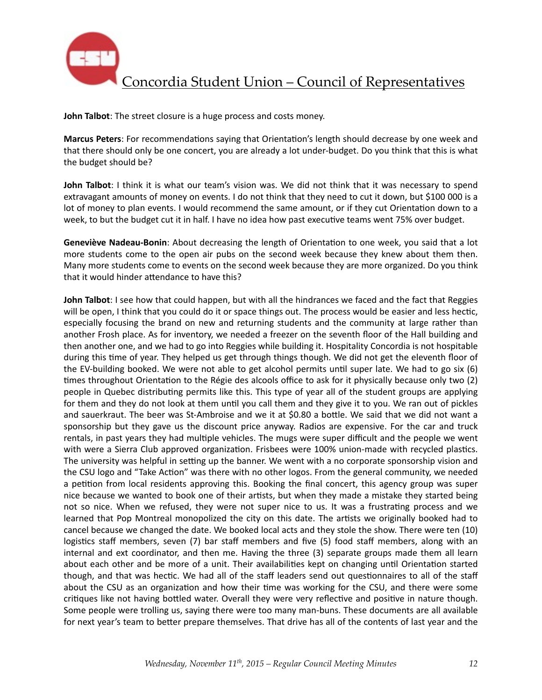

**John Talbot:** The street closure is a huge process and costs money.

**Marcus Peters**: For recommendations saying that Orientation's length should decrease by one week and that there should only be one concert, you are already a lot under-budget. Do you think that this is what the budget should be?

**John Talbot**: I think it is what our team's vision was. We did not think that it was necessary to spend extravagant amounts of money on events. I do not think that they need to cut it down, but \$100 000 is a lot of money to plan events. I would recommend the same amount, or if they cut Orientation down to a week, to but the budget cut it in half. I have no idea how past executive teams went 75% over budget.

Geneviève Nadeau-Bonin: About decreasing the length of Orientation to one week, you said that a lot more students come to the open air pubs on the second week because they knew about them then. Many more students come to events on the second week because they are more organized. Do you think that it would hinder attendance to have this?

**John Talbot**: I see how that could happen, but with all the hindrances we faced and the fact that Reggies will be open, I think that you could do it or space things out. The process would be easier and less hectic, especially focusing the brand on new and returning students and the community at large rather than another Frosh place. As for inventory, we needed a freezer on the seventh floor of the Hall building and then another one, and we had to go into Reggies while building it. Hospitality Concordia is not hospitable during this time of year. They helped us get through things though. We did not get the eleventh floor of the EV-building booked. We were not able to get alcohol permits until super late. We had to go six  $(6)$ times throughout Orientation to the Régie des alcools office to ask for it physically because only two (2) people in Quebec distributing permits like this. This type of year all of the student groups are applying for them and they do not look at them until you call them and they give it to you. We ran out of pickles and sauerkraut. The beer was St-Ambroise and we it at \$0.80 a bottle. We said that we did not want a sponsorship but they gave us the discount price anyway. Radios are expensive. For the car and truck rentals, in past years they had multiple vehicles. The mugs were super difficult and the people we went with were a Sierra Club approved organization. Frisbees were 100% union-made with recycled plastics. The university was helpful in setting up the banner. We went with a no corporate sponsorship vision and the CSU logo and "Take Action" was there with no other logos. From the general community, we needed a petition from local residents approving this. Booking the final concert, this agency group was super nice because we wanted to book one of their artists, but when they made a mistake they started being not so nice. When we refused, they were not super nice to us. It was a frustrating process and we learned that Pop Montreal monopolized the city on this date. The artists we originally booked had to cancel because we changed the date. We booked local acts and they stole the show. There were ten (10) logistics staff members, seven (7) bar staff members and five (5) food staff members, along with an internal and ext coordinator, and then me. Having the three (3) separate groups made them all learn about each other and be more of a unit. Their availabilities kept on changing until Orientation started though, and that was hectic. We had all of the staff leaders send out questionnaires to all of the staff about the CSU as an organization and how their time was working for the CSU, and there were some critiques like not having bottled water. Overall they were very reflective and positive in nature though. Some people were trolling us, saying there were too many man-buns. These documents are all available for next year's team to better prepare themselves. That drive has all of the contents of last year and the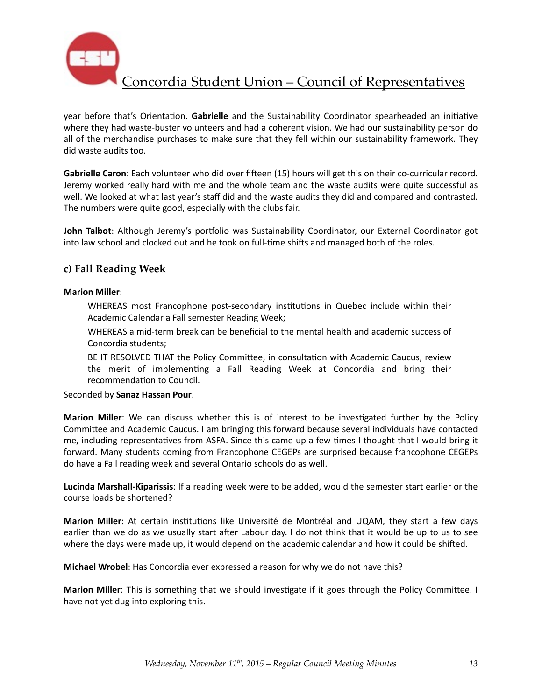

year before that's Orientation. Gabrielle and the Sustainability Coordinator spearheaded an initiative where they had waste-buster volunteers and had a coherent vision. We had our sustainability person do all of the merchandise purchases to make sure that they fell within our sustainability framework. They did waste audits too.

Gabrielle Caron: Each volunteer who did over fifteen (15) hours will get this on their co-curricular record. Jeremy worked really hard with me and the whole team and the waste audits were quite successful as well. We looked at what last year's staff did and the waste audits they did and compared and contrasted. The numbers were quite good, especially with the clubs fair.

John Talbot: Although Jeremy's portfolio was Sustainability Coordinator, our External Coordinator got into law school and clocked out and he took on full-time shifts and managed both of the roles.

### **c) Fall Reading Week**

#### **Marion Miller**:

WHEREAS most Francophone post-secondary institutions in Quebec include within their Academic Calendar a Fall semester Reading Week;

WHEREAS a mid-term break can be beneficial to the mental health and academic success of Concordia students:

BE IT RESOLVED THAT the Policy Committee, in consultation with Academic Caucus, review the merit of implementing a Fall Reading Week at Concordia and bring their recommendation to Council.

#### Seconded by **Sanaz Hassan Pour**.

**Marion Miller**: We can discuss whether this is of interest to be investigated further by the Policy Committee and Academic Caucus. I am bringing this forward because several individuals have contacted me, including representatives from ASFA. Since this came up a few times I thought that I would bring it forward. Many students coming from Francophone CEGEPs are surprised because francophone CEGEPs do have a Fall reading week and several Ontario schools do as well.

**Lucinda Marshall-Kiparissis**: If a reading week were to be added, would the semester start earlier or the course loads be shortened?

**Marion Miller**: At certain institutions like Université de Montréal and UQAM, they start a few days earlier than we do as we usually start after Labour day. I do not think that it would be up to us to see where the days were made up, it would depend on the academic calendar and how it could be shifted.

**Michael Wrobel**: Has Concordia ever expressed a reason for why we do not have this?

**Marion Miller**: This is something that we should investigate if it goes through the Policy Committee. I have not yet dug into exploring this.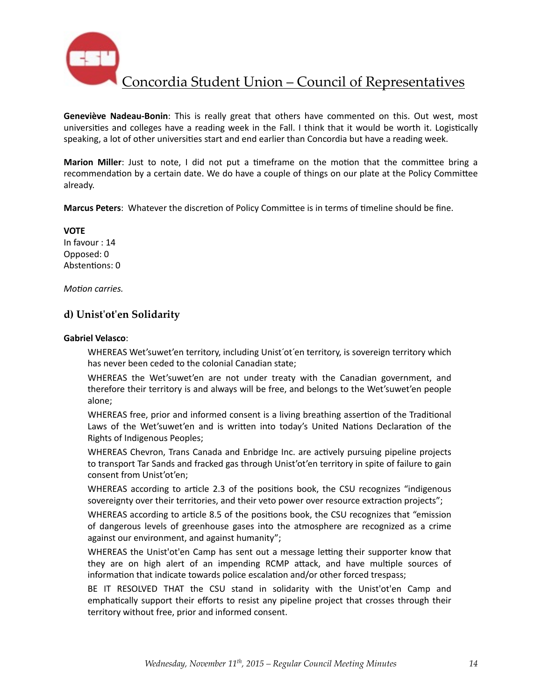

**Geneviève Nadeau-Bonin**: This is really great that others have commented on this. Out west, most universities and colleges have a reading week in the Fall. I think that it would be worth it. Logistically speaking, a lot of other universities start and end earlier than Concordia but have a reading week.

**Marion Miller**: Just to note, I did not put a timeframe on the motion that the committee bring a recommendation by a certain date. We do have a couple of things on our plate at the Policy Committee already. 

Marcus Peters: Whatever the discretion of Policy Committee is in terms of timeline should be fine.

**VOTE** In favour : 14 Opposed: 0 Abstentions: 0

*Motion carries.* 

### **d) Unist'ot'en Solidarity**

#### **Gabriel Velasco**:

WHEREAS Wet'suwet'en territory, including Unist'ot'en territory, is sovereign territory which has never been ceded to the colonial Canadian state;

WHEREAS the Wet'suwet'en are not under treaty with the Canadian government, and therefore their territory is and always will be free, and belongs to the Wet'suwet'en people alone;

WHEREAS free, prior and informed consent is a living breathing assertion of the Traditional Laws of the Wet'suwet'en and is written into today's United Nations Declaration of the Rights of Indigenous Peoples;

WHEREAS Chevron, Trans Canada and Enbridge Inc. are actively pursuing pipeline projects to transport Tar Sands and fracked gas through Unist'ot'en territory in spite of failure to gain consent from Unist'ot'en;

WHEREAS according to article 2.3 of the positions book, the CSU recognizes "indigenous sovereignty over their territories, and their veto power over resource extraction projects";

WHEREAS according to article 8.5 of the positions book, the CSU recognizes that "emission of dangerous levels of greenhouse gases into the atmosphere are recognized as a crime against our environment, and against humanity";

WHEREAS the Unist'ot'en Camp has sent out a message letting their supporter know that they are on high alert of an impending RCMP attack, and have multiple sources of information that indicate towards police escalation and/or other forced trespass;

BE IT RESOLVED THAT the CSU stand in solidarity with the Unist'ot'en Camp and emphatically support their efforts to resist any pipeline project that crosses through their territory without free, prior and informed consent.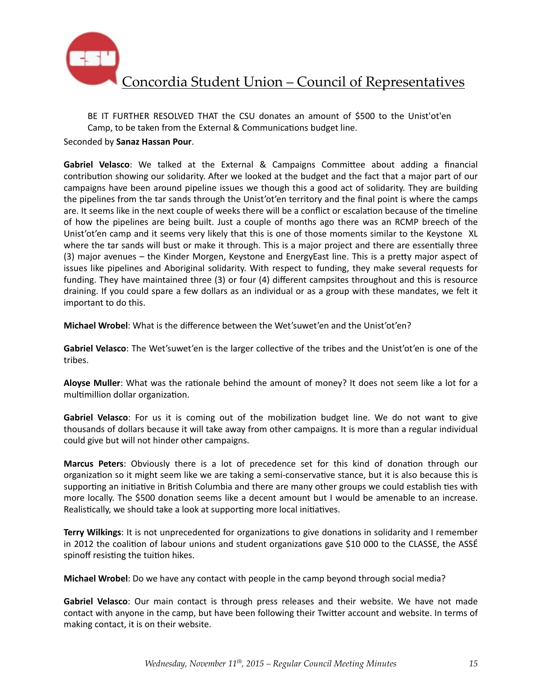

BE IT FURTHER RESOLVED THAT the CSU donates an amount of \$500 to the Unist'ot'en Camp, to be taken from the External & Communications budget line.

Seconded by **Sanaz Hassan Pour**. 

Gabriel Velasco: We talked at the External & Campaigns Committee about adding a financial contribution showing our solidarity. After we looked at the budget and the fact that a major part of our campaigns have been around pipeline issues we though this a good act of solidarity. They are building the pipelines from the tar sands through the Unist'ot'en territory and the final point is where the camps are. It seems like in the next couple of weeks there will be a conflict or escalation because of the timeline of how the pipelines are being built. Just a couple of months ago there was an RCMP breech of the Unist'ot'en camp and it seems very likely that this is one of those moments similar to the Keystone XL where the tar sands will bust or make it through. This is a major project and there are essentially three (3) major avenues - the Kinder Morgen, Keystone and EnergyEast line. This is a pretty major aspect of issues like pipelines and Aboriginal solidarity. With respect to funding, they make several requests for funding. They have maintained three (3) or four (4) different campsites throughout and this is resource draining. If you could spare a few dollars as an individual or as a group with these mandates, we felt it important to do this.

**Michael Wrobel**: What is the difference between the Wet'suwet'en and the Unist'ot'en?

Gabriel Velasco: The Wet'suwet'en is the larger collective of the tribes and the Unist'ot'en is one of the tribes. 

Aloyse Muller: What was the rationale behind the amount of money? It does not seem like a lot for a multimillion dollar organization.

Gabriel Velasco: For us it is coming out of the mobilization budget line. We do not want to give thousands of dollars because it will take away from other campaigns. It is more than a regular individual could give but will not hinder other campaigns.

**Marcus Peters:** Obviously there is a lot of precedence set for this kind of donation through our organization so it might seem like we are taking a semi-conservative stance, but it is also because this is supporting an initiative in British Columbia and there are many other groups we could establish ties with more locally. The \$500 donation seems like a decent amount but I would be amenable to an increase. Realistically, we should take a look at supporting more local initiatives.

**Terry Wilkings**: It is not unprecedented for organizations to give donations in solidarity and I remember in 2012 the coalition of labour unions and student organizations gave \$10 000 to the CLASSE, the ASSÉ spinoff resisting the tuition hikes.

**Michael Wrobel**: Do we have any contact with people in the camp beyond through social media?

**Gabriel Velasco**: Our main contact is through press releases and their website. We have not made contact with anyone in the camp, but have been following their Twitter account and website. In terms of making contact, it is on their website.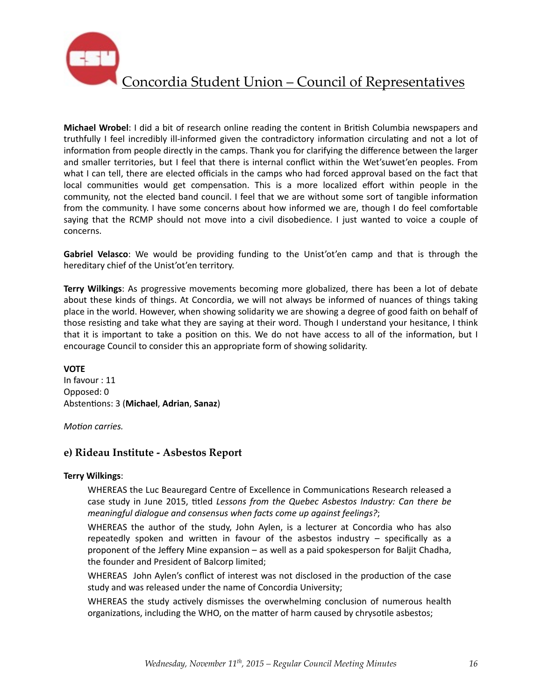

**Michael Wrobel:** I did a bit of research online reading the content in British Columbia newspapers and truthfully I feel incredibly ill-informed given the contradictory information circulating and not a lot of information from people directly in the camps. Thank you for clarifying the difference between the larger and smaller territories, but I feel that there is internal conflict within the Wet'suwet'en peoples. From what I can tell, there are elected officials in the camps who had forced approval based on the fact that local communities would get compensation. This is a more localized effort within people in the community, not the elected band council. I feel that we are without some sort of tangible information from the community. I have some concerns about how informed we are, though I do feel comfortable saying that the RCMP should not move into a civil disobedience. I just wanted to voice a couple of concerns. 

**Gabriel Velasco**: We would be providing funding to the Unist'ot'en camp and that is through the hereditary chief of the Unist'ot'en territory.

**Terry Wilkings:** As progressive movements becoming more globalized, there has been a lot of debate about these kinds of things. At Concordia, we will not always be informed of nuances of things taking place in the world. However, when showing solidarity we are showing a degree of good faith on behalf of those resisting and take what they are saying at their word. Though I understand your hesitance, I think that it is important to take a position on this. We do not have access to all of the information, but I encourage Council to consider this an appropriate form of showing solidarity.

#### **VOTE**

In favour : 11 Opposed: 0 Absten%ons: 3 (**Michael**, **Adrian**, **Sanaz**)

*Motion carries.* 

### **e) Rideau Institute - Asbestos Report**

#### **Terry Wilkings**:

WHEREAS the Luc Beauregard Centre of Excellence in Communications Research released a case study in June 2015, titled Lessons from the Quebec Asbestos Industry: Can there be *meaningful dialogue and consensus when facts come up against feelings?;* 

WHEREAS the author of the study, John Aylen, is a lecturer at Concordia who has also repeatedly spoken and written in favour of the asbestos industry  $-$  specifically as a proponent of the Jeffery Mine expansion  $-$  as well as a paid spokesperson for Baljit Chadha, the founder and President of Balcorp limited;

WHEREAS John Aylen's conflict of interest was not disclosed in the production of the case study and was released under the name of Concordia University;

WHEREAS the study actively dismisses the overwhelming conclusion of numerous health organizations, including the WHO, on the matter of harm caused by chrysotile asbestos;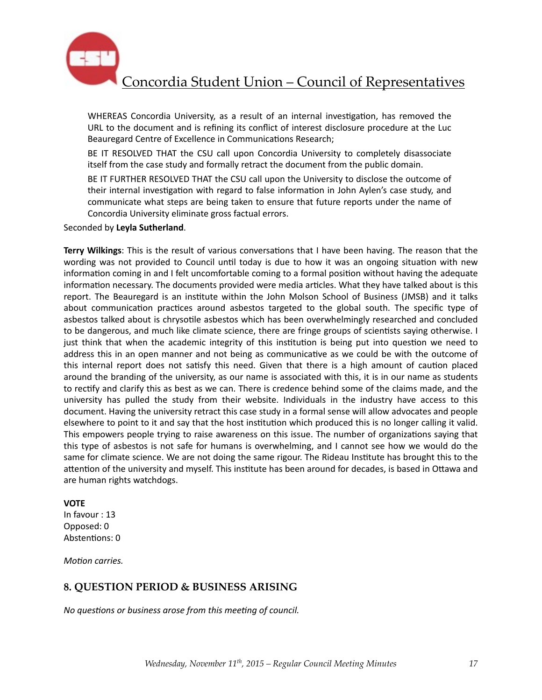

WHEREAS Concordia University, as a result of an internal investigation, has removed the URL to the document and is refining its conflict of interest disclosure procedure at the Luc Beauregard Centre of Excellence in Communications Research;

BE IT RESOLVED THAT the CSU call upon Concordia University to completely disassociate itself from the case study and formally retract the document from the public domain.

BE IT FURTHER RESOLVED THAT the CSU call upon the University to disclose the outcome of their internal investigation with regard to false information in John Aylen's case study, and communicate what steps are being taken to ensure that future reports under the name of Concordia University eliminate gross factual errors.

Seconded by **Leyla Sutherland**. 

**Terry Wilkings**: This is the result of various conversations that I have been having. The reason that the wording was not provided to Council until today is due to how it was an ongoing situation with new information coming in and I felt uncomfortable coming to a formal position without having the adequate information necessary. The documents provided were media articles. What they have talked about is this report. The Beauregard is an institute within the John Molson School of Business (JMSB) and it talks about communication practices around asbestos targeted to the global south. The specific type of asbestos talked about is chrysotile asbestos which has been overwhelmingly researched and concluded to be dangerous, and much like climate science, there are fringe groups of scientists saying otherwise. I just think that when the academic integrity of this institution is being put into question we need to address this in an open manner and not being as communicative as we could be with the outcome of this internal report does not satisfy this need. Given that there is a high amount of caution placed around the branding of the university, as our name is associated with this, it is in our name as students to rectify and clarify this as best as we can. There is credence behind some of the claims made, and the university has pulled the study from their website. Individuals in the industry have access to this document. Having the university retract this case study in a formal sense will allow advocates and people elsewhere to point to it and say that the host institution which produced this is no longer calling it valid. This empowers people trying to raise awareness on this issue. The number of organizations saying that this type of asbestos is not safe for humans is overwhelming, and I cannot see how we would do the same for climate science. We are not doing the same rigour. The Rideau Institute has brought this to the attention of the university and myself. This institute has been around for decades, is based in Ottawa and are human rights watchdogs.

#### **VOTE**

In favour : 13 Opposed: 0 Abstentions: 0

*Motion carries.* 

### **8. QUESTION PERIOD & BUSINESS ARISING**

*No questions or business arose from this meeting of council.*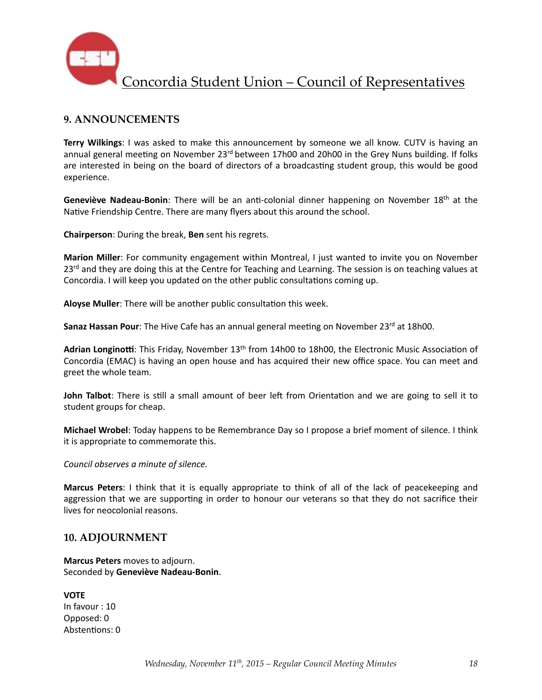

### **9. ANNOUNCEMENTS**

**Terry Wilkings**: I was asked to make this announcement by someone we all know. CUTV is having an annual general meeting on November 23<sup>rd</sup> between 17h00 and 20h00 in the Grey Nuns building. If folks are interested in being on the board of directors of a broadcasting student group, this would be good experience. 

**Geneviève Nadeau-Bonin**: There will be an anti-colonial dinner happening on November 18<sup>th</sup> at the Native Friendship Centre. There are many flyers about this around the school.

**Chairperson:** During the break, **Ben** sent his regrets.

**Marion Miller**: For community engagement within Montreal, I just wanted to invite you on November  $23<sup>rd</sup>$  and they are doing this at the Centre for Teaching and Learning. The session is on teaching values at Concordia. I will keep you updated on the other public consultations coming up.

Aloyse Muller: There will be another public consultation this week.

**Sanaz Hassan Pour**: The Hive Cafe has an annual general meeting on November 23<sup>rd</sup> at 18h00.

Adrian Longinotti: This Friday, November 13<sup>th</sup> from 14h00 to 18h00, the Electronic Music Association of Concordia (EMAC) is having an open house and has acquired their new office space. You can meet and greet the whole team.

**John Talbot**: There is still a small amount of beer left from Orientation and we are going to sell it to student groups for cheap.

**Michael Wrobel:** Today happens to be Remembrance Day so I propose a brief moment of silence. I think it is appropriate to commemorate this.

*Council observes a minute of silence.* 

**Marcus Peters**: I think that it is equally appropriate to think of all of the lack of peacekeeping and aggression that we are supporting in order to honour our veterans so that they do not sacrifice their lives for neocolonial reasons.

### **10. ADJOURNMENT**

**Marcus Peters** moves to adjourn. Seconded by **Geneviève Nadeau-Bonin**. 

**VOTE** In favour : 10 Opposed: 0 Abstentions: 0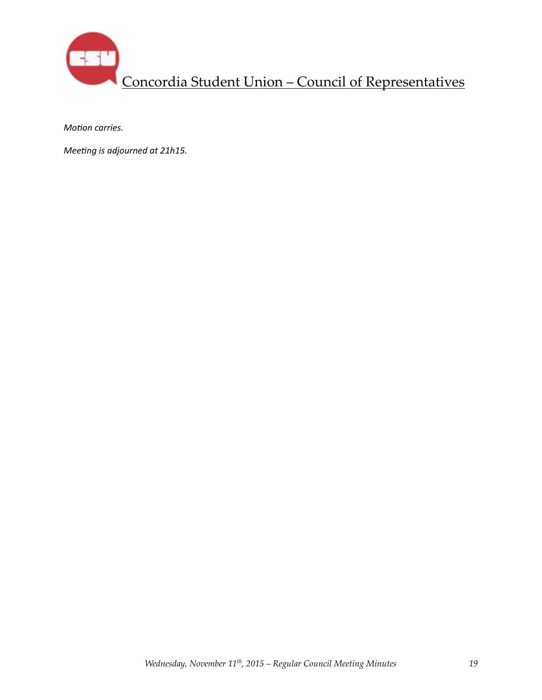

*Motion carries.* 

*Meeting is adjourned at 21h15.*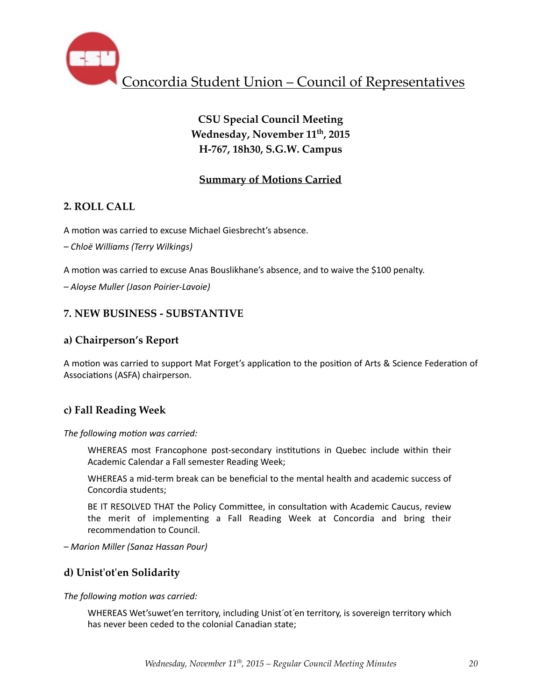

# **CSU Special Council Meeting** Wednesday, November 11<sup>th</sup>, 2015 **H-767, 18h30, S.G.W. Campus**

## **Summary of Motions Carried**

## **2. ROLL CALL**

A motion was carried to excuse Michael Giesbrecht's absence.

*– Chloë Williams (Terry Wilkings)* 

A motion was carried to excuse Anas Bouslikhane's absence, and to waive the \$100 penalty.

*– Aloyse Muller (Jason Poirier-Lavoie)*

## **7. NEW BUSINESS - SUBSTANTIVE**

## **a) Chairperson's Report**

A motion was carried to support Mat Forget's application to the position of Arts & Science Federation of Associations (ASFA) chairperson.

## **c) Fall Reading Week**

The following motion was carried:

WHEREAS most Francophone post-secondary institutions in Quebec include within their Academic Calendar a Fall semester Reading Week;

WHEREAS a mid-term break can be beneficial to the mental health and academic success of Concordia students:

BE IT RESOLVED THAT the Policy Committee, in consultation with Academic Caucus, review the merit of implementing a Fall Reading Week at Concordia and bring their recommendation to Council.

*– Marion Miller (Sanaz Hassan Pour)* 

## **d) Unist'ot'en Solidarity**

The following motion was carried:

WHEREAS Wet'suwet'en territory, including Unist'ot'en territory, is sovereign territory which has never been ceded to the colonial Canadian state;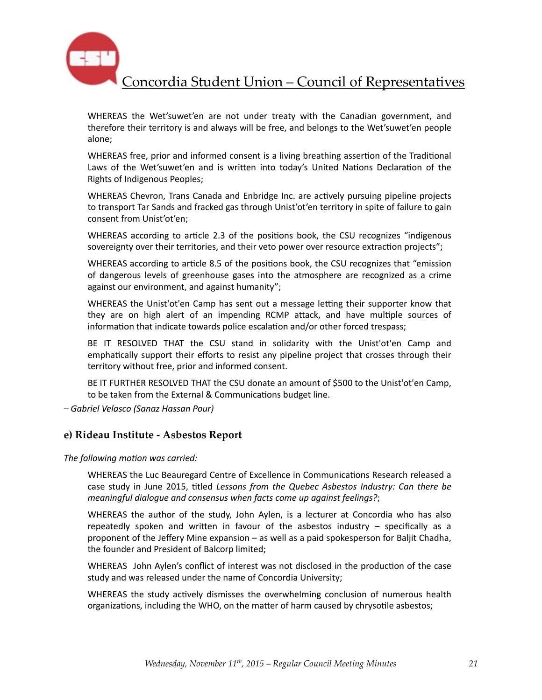

WHEREAS the Wet'suwet'en are not under treaty with the Canadian government, and therefore their territory is and always will be free, and belongs to the Wet'suwet'en people alone;

WHEREAS free, prior and informed consent is a living breathing assertion of the Traditional Laws of the Wet'suwet'en and is written into today's United Nations Declaration of the Rights of Indigenous Peoples;

WHEREAS Chevron, Trans Canada and Enbridge Inc. are actively pursuing pipeline projects to transport Tar Sands and fracked gas through Unist'ot'en territory in spite of failure to gain consent from Unist'ot'en;

WHEREAS according to article 2.3 of the positions book, the CSU recognizes "indigenous sovereignty over their territories, and their veto power over resource extraction projects";

WHEREAS according to article 8.5 of the positions book, the CSU recognizes that "emission of dangerous levels of greenhouse gases into the atmosphere are recognized as a crime against our environment, and against humanity";

WHEREAS the Unist'ot'en Camp has sent out a message letting their supporter know that they are on high alert of an impending RCMP attack, and have multiple sources of information that indicate towards police escalation and/or other forced trespass;

BE IT RESOLVED THAT the CSU stand in solidarity with the Unist'ot'en Camp and emphatically support their efforts to resist any pipeline project that crosses through their territory without free, prior and informed consent.

BE IT FURTHER RESOLVED THAT the CSU donate an amount of \$500 to the Unist'ot'en Camp, to be taken from the External & Communications budget line.

*– Gabriel Velasco (Sanaz Hassan Pour)* 

### **e) Rideau Institute - Asbestos Report**

The following motion was carried:

WHEREAS the Luc Beauregard Centre of Excellence in Communications Research released a case study in June 2015, titled Lessons from the Quebec Asbestos Industry: Can there be *meaningful dialogue and consensus when facts come up against feelings?;* 

WHEREAS the author of the study, John Aylen, is a lecturer at Concordia who has also repeatedly spoken and written in favour of the asbestos industry  $-$  specifically as a proponent of the Jeffery Mine expansion  $-$  as well as a paid spokesperson for Baljit Chadha, the founder and President of Balcorp limited;

WHEREAS John Aylen's conflict of interest was not disclosed in the production of the case study and was released under the name of Concordia University;

WHEREAS the study actively dismisses the overwhelming conclusion of numerous health organizations, including the WHO, on the matter of harm caused by chrysotile asbestos;